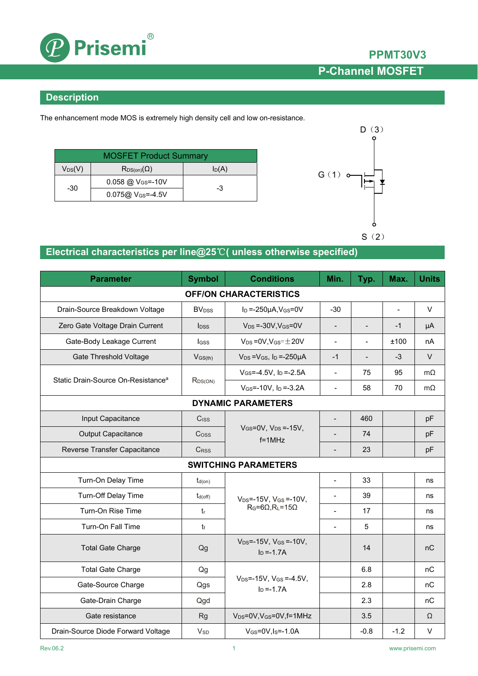

## **PPMT30V3 P-Channel MOSFET**

### **Description**

The enhancement mode MOS is extremely high density cell and low on-resistance.

| <b>MOSFET Product Summary</b> |                               |       |  |  |
|-------------------------------|-------------------------------|-------|--|--|
| $V_{DS}(V)$                   | $R_{DS(on)}(\Omega)$          | ln(A) |  |  |
| -30                           | 0.058 @ V <sub>GS</sub> =-10V | -3    |  |  |
|                               | $0.075@V_{GS} = -4.5V$        |       |  |  |



## **Electrical characteristics per line@25**℃**( unless otherwise specified)**

| <b>Parameter</b>                               | <b>Symbol</b>            | <b>Conditions</b>                                                  | Min.                     | Typ.                         | Max.           | <b>Units</b> |  |
|------------------------------------------------|--------------------------|--------------------------------------------------------------------|--------------------------|------------------------------|----------------|--------------|--|
| <b>OFF/ON CHARACTERISTICS</b>                  |                          |                                                                    |                          |                              |                |              |  |
| Drain-Source Breakdown Voltage                 | <b>BV</b> <sub>DSS</sub> | $I_D = -250\mu A$ , $V_{GS} = 0V$                                  | $-30$                    |                              | $\overline{a}$ | V            |  |
| Zero Gate Voltage Drain Current                | <b>l</b> <sub>DSS</sub>  | $V_{DS} = -30V$ , $V_{GS} = 0V$                                    |                          | $\qquad \qquad \blacksquare$ | $-1$           | μA           |  |
| Gate-Body Leakage Current                      | IGSS                     | $V_{DS}$ = 0V, $V_{GS}$ = $\pm$ 20V                                | $\blacksquare$           | $\blacksquare$               | ±100           | nA           |  |
| <b>Gate Threshold Voltage</b>                  | $V$ <sub>GS(th)</sub>    | $V_{DS} = V_{GS}$ , $I_D = -250 \mu A$                             | $-1$                     | $\blacksquare$               | $-3$           | $\vee$       |  |
| Static Drain-Source On-Resistance <sup>a</sup> | $R_{DS(ON)}$             | $V_{GS} = -4.5V$ , $I_D = -2.5A$                                   | $\blacksquare$           | 75                           | 95             | $m\Omega$    |  |
|                                                |                          | $V_{GS} = -10V$ , $I_D = -3.2A$                                    | $\blacksquare$           | 58                           | 70             | $m\Omega$    |  |
| <b>DYNAMIC PARAMETERS</b>                      |                          |                                                                    |                          |                              |                |              |  |
| Input Capacitance                              | Ciss                     |                                                                    |                          | 460                          |                | pF           |  |
| <b>Output Capacitance</b>                      | Coss                     | $V$ <sub>GS</sub> =0V, $V_{DS}$ =-15V,<br>$f = 1$ MHz              |                          | 74                           |                | pF           |  |
| Reverse Transfer Capacitance                   | CRSS                     |                                                                    | $\overline{\phantom{a}}$ | 23                           |                | pF           |  |
| <b>SWITCHING PARAMETERS</b>                    |                          |                                                                    |                          |                              |                |              |  |
| Turn-On Delay Time                             | $t_{d(on)}$              |                                                                    | $\overline{\phantom{a}}$ | 33                           |                | ns           |  |
| Turn-Off Delay Time                            | $t_{d(off)}$             | $V_{DS} = -15V$ , $V_{GS} = -10V$ ,<br>$R_G=6\Omega, R_L=15\Omega$ | $\blacksquare$           | 39                           |                | ns           |  |
| Turn-On Rise Time                              | $t_{r}$                  |                                                                    | $\overline{a}$           | 17                           |                | ns           |  |
| Turn-On Fall Time                              | t                        |                                                                    |                          | 5                            |                | ns           |  |
| <b>Total Gate Charge</b>                       | Qg                       | $V_{DS} = -15V$ , $V_{GS} = -10V$ ,<br>$I_D = -1.7A$               |                          | 14                           |                | nC           |  |
| <b>Total Gate Charge</b>                       | Qg                       |                                                                    |                          | 6.8                          |                | nC           |  |
| Gate-Source Charge                             | Qgs                      | $V_{DS} = -15V$ , $V_{GS} = -4.5V$ ,<br>$I_D = -1.7A$              |                          | 2.8                          |                | nC           |  |
| Gate-Drain Charge                              | Qgd                      |                                                                    |                          | 2.3                          |                | nC           |  |
| Gate resistance                                | <b>Rg</b>                | V <sub>DS</sub> =0V, V <sub>GS</sub> =0V, f=1MHz                   |                          | 3.5                          |                | $\Omega$     |  |
| Drain-Source Diode Forward Voltage             | <b>V<sub>SD</sub></b>    | $V$ <sub>GS</sub> =0V, I <sub>S</sub> =-1.0A                       |                          | $-0.8$                       | $-1.2$         | V            |  |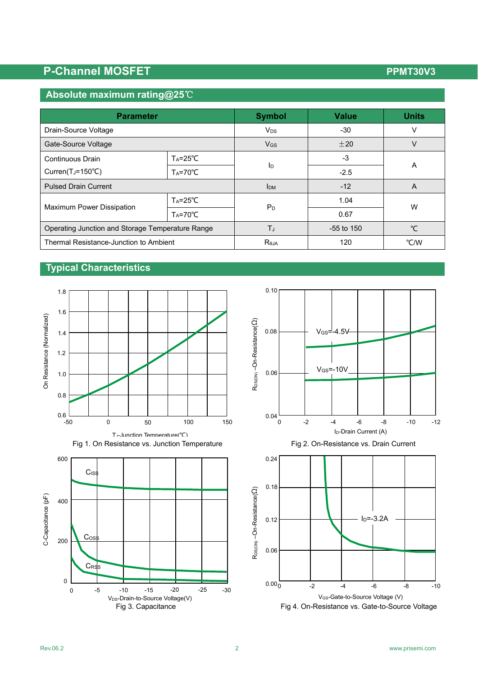## P-Channel MOSFET **PERIODIC CONTROL**

## **Absolute maximum rating@25**℃

| <b>Parameter</b>                                 | <b>Symbol</b>         | <b>Value</b>          | <b>Units</b> |              |  |
|--------------------------------------------------|-----------------------|-----------------------|--------------|--------------|--|
| Drain-Source Voltage                             | <b>V<sub>DS</sub></b> | $-30$                 | v            |              |  |
| Gate-Source Voltage                              |                       | <b>V<sub>GS</sub></b> | ±20          | V            |  |
| Continuous Drain                                 | $Ta = 25^{\circ}C$    |                       | $-3$         |              |  |
| Curren( $T_J = 150^{\circ}C$ )                   | $Ta = 70^{\circ}C$    | ID                    | $-2.5$       | A            |  |
| <b>Pulsed Drain Current</b>                      | <b>I</b> DM           | $-12$                 | A            |              |  |
|                                                  | $Ta = 25^{\circ}C$    |                       | 1.04         | W            |  |
| <b>Maximum Power Dissipation</b>                 | $Ta = 70^{\circ}C$    | $P_D$                 | 0.67         |              |  |
| Operating Junction and Storage Temperature Range |                       | TJ                    | $-55$ to 150 | $^{\circ}$ C |  |
| Thermal Resistance-Junction to Ambient           |                       | $R_{\theta,IA}$       | 120          | °C/W         |  |

### **Typical Characteristics**









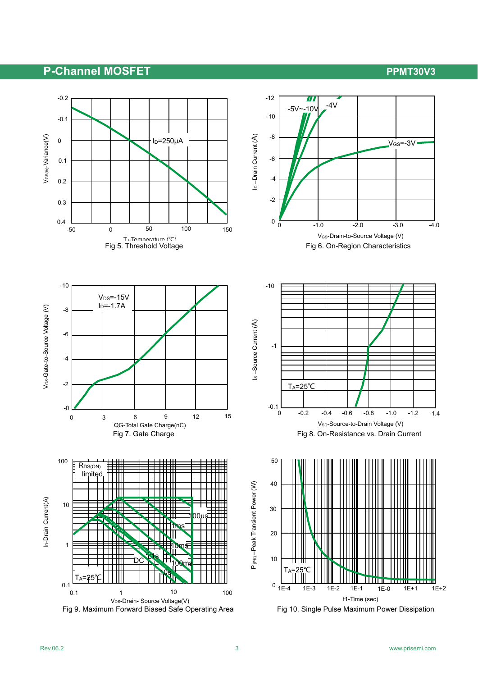## P-Channel MOSFET **PERIODE ACCEPT ACCEPT** PPMT30V3



Fig 9. Maximum Forward Biased Safe Operating Area Fig 10. Single Pulse Maximum Power Dissipation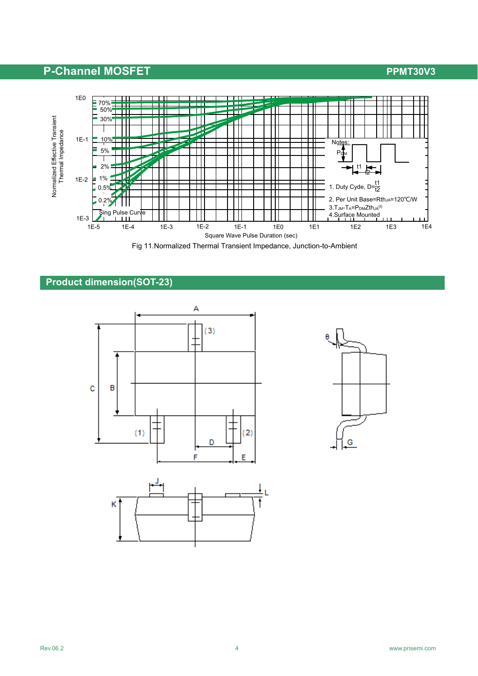## **P-Channel MOSFET P-Channel MOSFET**



Fig 11.Normalized Thermal Transient Impedance, Junction-to-Ambient

### **Product dimension(SOT-23)**



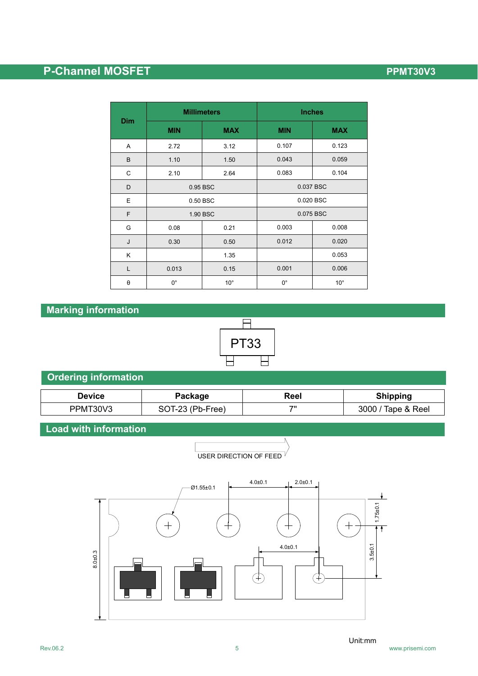# **P-Channel MOSFET P-Channel MOSFET**

|                       |             | <b>Millimeters</b> | <b>Inches</b> |              |  |
|-----------------------|-------------|--------------------|---------------|--------------|--|
| <b>Dim</b>            | <b>MIN</b>  | <b>MAX</b>         | <b>MIN</b>    | <b>MAX</b>   |  |
| Α                     | 2.72        | 3.12               | 0.107         | 0.123        |  |
| B                     | 1.10        | 1.50               | 0.043         | 0.059        |  |
| C                     | 2.10        | 2.64               | 0.083         | 0.104        |  |
| D                     | 0.95 BSC    |                    | 0.037 BSC     |              |  |
| E                     | 0.50 BSC    |                    | 0.020 BSC     |              |  |
| F                     | 1.90 BSC    |                    | 0.075 BSC     |              |  |
| G                     | 0.08        | 0.21               | 0.003         | 0.008        |  |
| J                     | 0.30        | 0.50               | 0.012         | 0.020        |  |
| K                     |             | 1.35               |               | 0.053        |  |
| L                     | 0.013       | 0.15               | 0.001         | 0.006        |  |
| $\boldsymbol{\theta}$ | $0^{\circ}$ | $10^{\circ}$       | $0^{\circ}$   | $10^{\circ}$ |  |

## **Marking information**



## **Ordering information**

| Device   | Package          | Reel | <b>Shipping</b>    |
|----------|------------------|------|--------------------|
| PPMT30V3 | SOT-23 (Pb-Free) | 70   | 3000 / Tape & Reel |

### **Load with information**